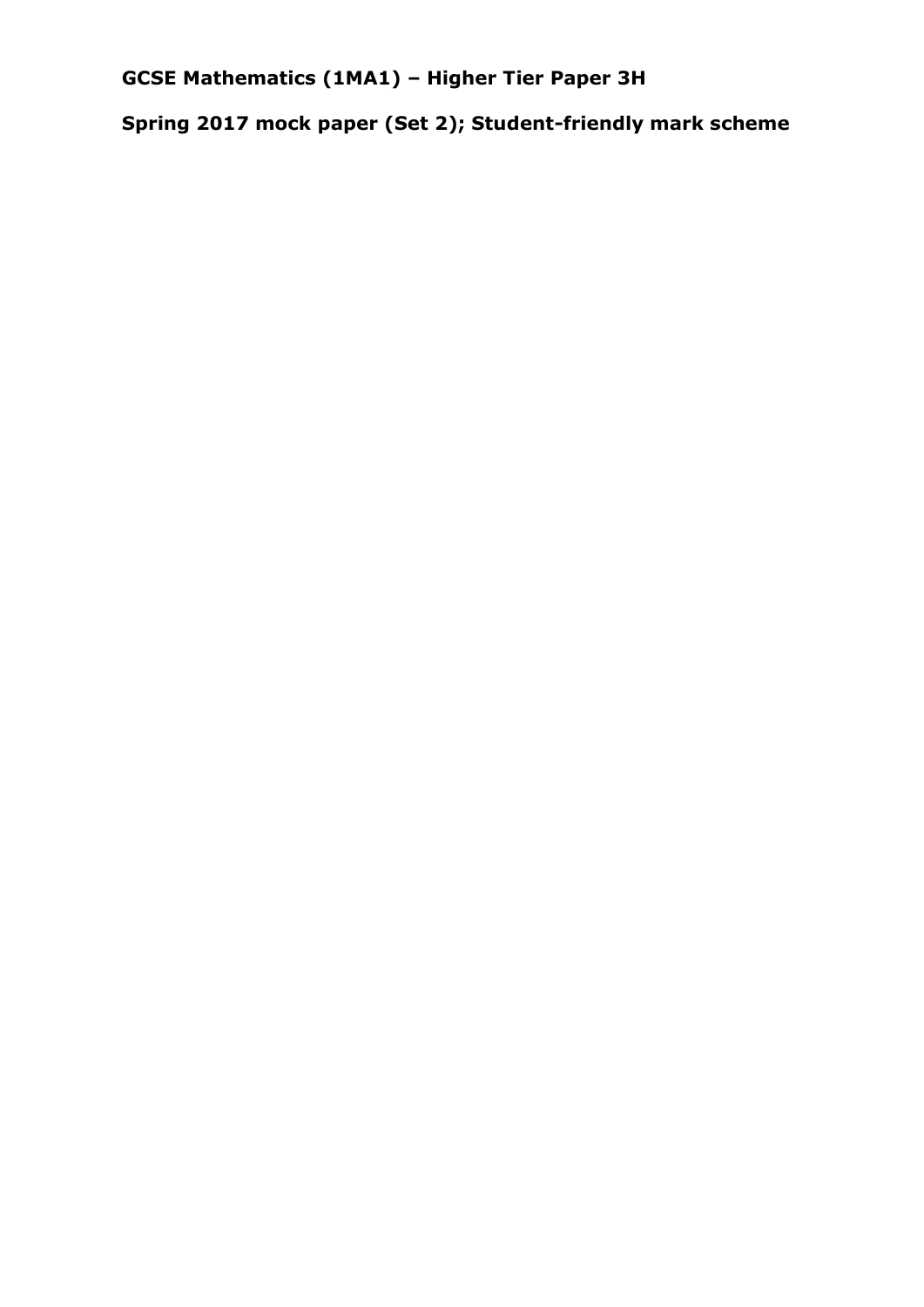**GCSE Mathematics (1MA1) – Higher Tier Paper 3H**

**Spring 2017 mock paper (Set 2); Student-friendly mark scheme**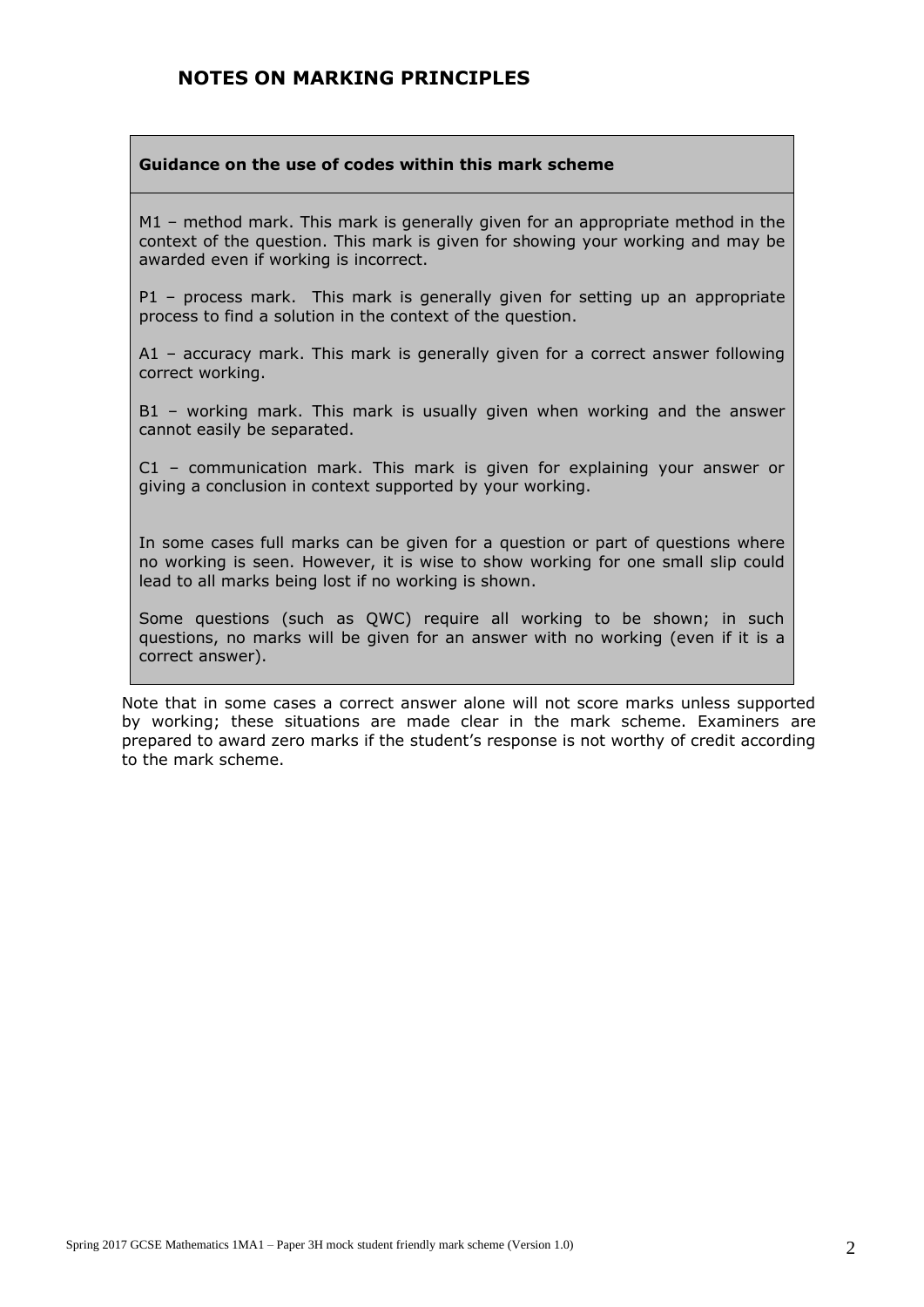#### **NOTES ON MARKING PRINCIPLES**

#### **Guidance on the use of codes within this mark scheme**

M1 – method mark. This mark is generally given for an appropriate method in the context of the question. This mark is given for showing your working and may be awarded even if working is incorrect.

P1 – process mark. This mark is generally given for setting up an appropriate process to find a solution in the context of the question.

A1 – accuracy mark. This mark is generally given for a correct answer following correct working.

B1 – working mark. This mark is usually given when working and the answer cannot easily be separated.

C1 – communication mark. This mark is given for explaining your answer or giving a conclusion in context supported by your working.

In some cases full marks can be given for a question or part of questions where no working is seen. However, it is wise to show working for one small slip could lead to all marks being lost if no working is shown.

Some questions (such as QWC) require all working to be shown; in such questions, no marks will be given for an answer with no working (even if it is a correct answer).

Note that in some cases a correct answer alone will not score marks unless supported by working; these situations are made clear in the mark scheme. Examiners are prepared to award zero marks if the student's response is not worthy of credit according to the mark scheme.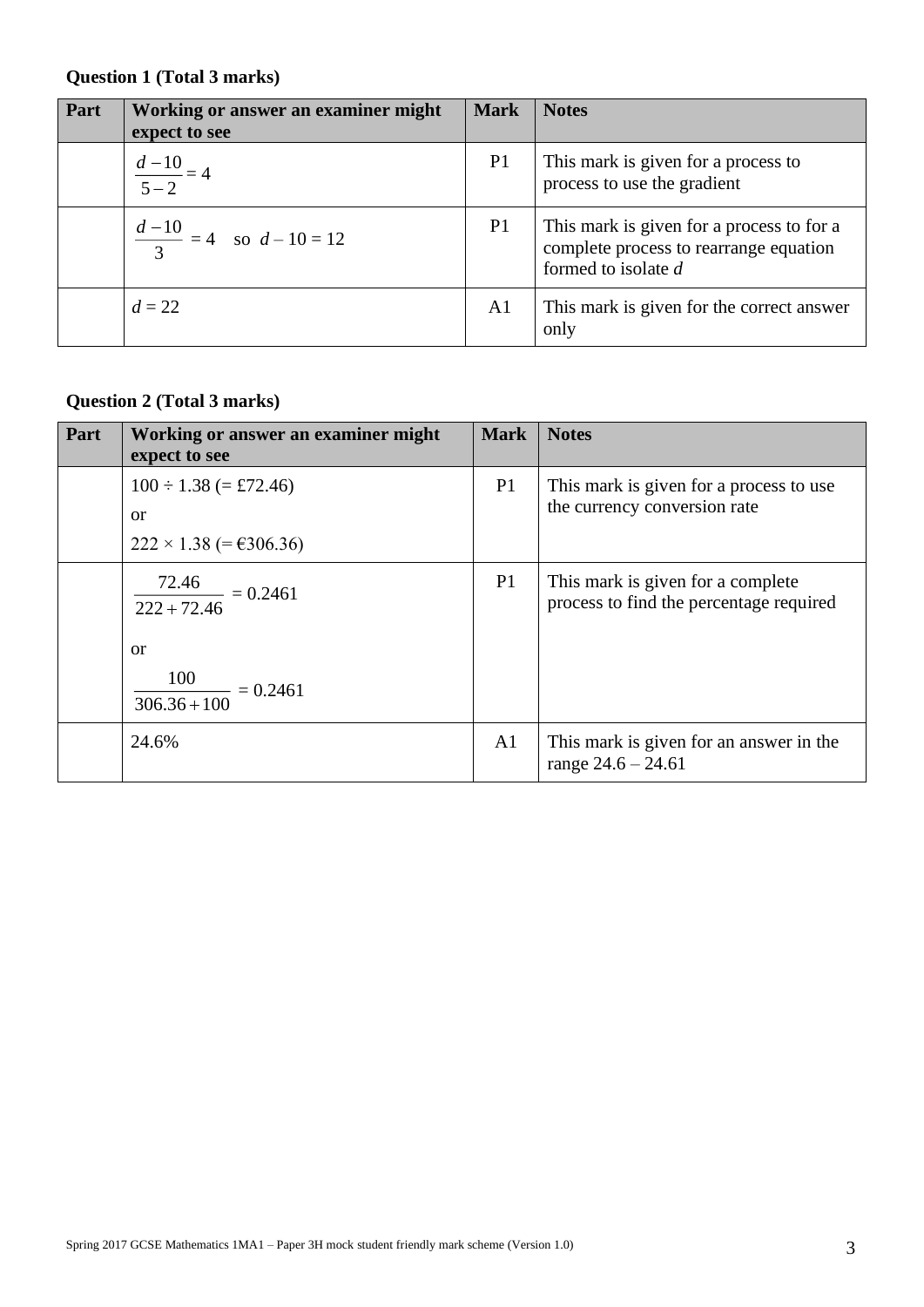### **Question 1 (Total 3 marks)**

| Part | Working or answer an examiner might<br>expect to see | <b>Mark</b>    | <b>Notes</b>                                                                                                 |
|------|------------------------------------------------------|----------------|--------------------------------------------------------------------------------------------------------------|
|      | $rac{d-10}{5-2} = 4$                                 | P <sub>1</sub> | This mark is given for a process to<br>process to use the gradient                                           |
|      | $rac{d-10}{3}$ = 4 so $d-10=12$                      | P <sub>1</sub> | This mark is given for a process to for a<br>complete process to rearrange equation<br>formed to isolate $d$ |
|      | $d = 22$                                             | A <sub>1</sub> | This mark is given for the correct answer<br>only                                                            |

### **Question 2 (Total 3 marks)**

| Part | Working or answer an examiner might<br>expect to see                                       | <b>Mark</b>    | <b>Notes</b>                                                                 |
|------|--------------------------------------------------------------------------------------------|----------------|------------------------------------------------------------------------------|
|      | $100 \div 1.38$ (= £72.46)<br><sub>or</sub><br>$222 \times 1.38$ (= €306.36)               | P1             | This mark is given for a process to use<br>the currency conversion rate      |
|      | $\frac{72.46}{222+72.46} = 0.2461$<br><sub>or</sub><br>$\frac{100}{306.36 + 100} = 0.2461$ | P1             | This mark is given for a complete<br>process to find the percentage required |
|      | 24.6%                                                                                      | A <sub>1</sub> | This mark is given for an answer in the<br>range $24.6 - 24.61$              |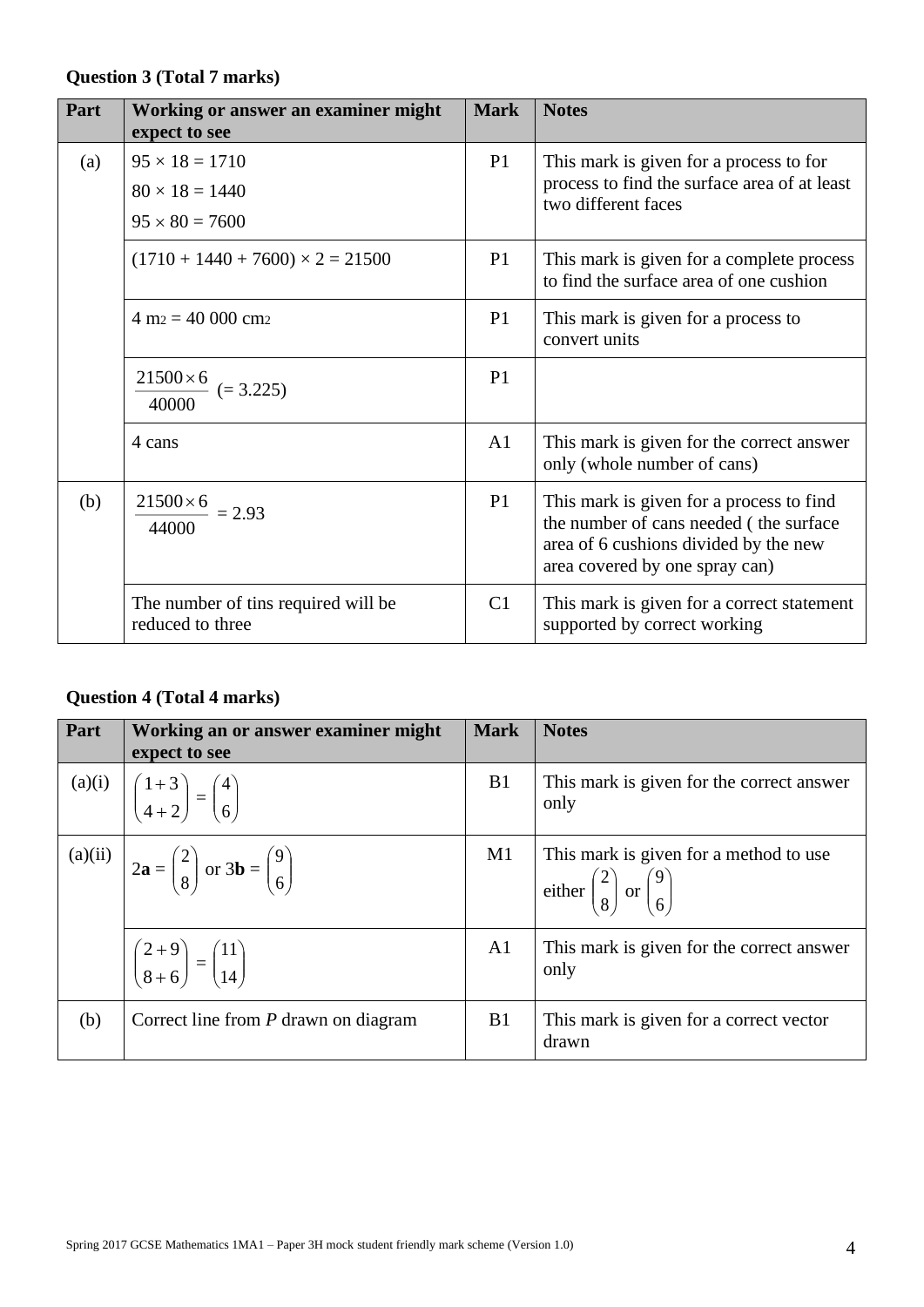### **Question 3 (Total 7 marks)**

| Part | Working or answer an examiner might<br>expect to see                    | <b>Mark</b>    | <b>Notes</b>                                                                                                                                                  |
|------|-------------------------------------------------------------------------|----------------|---------------------------------------------------------------------------------------------------------------------------------------------------------------|
| (a)  | $95 \times 18 = 1710$<br>$80 \times 18 = 1440$<br>$95 \times 80 = 7600$ | P1             | This mark is given for a process to for<br>process to find the surface area of at least<br>two different faces                                                |
|      | $(1710 + 1440 + 7600) \times 2 = 21500$                                 | P <sub>1</sub> | This mark is given for a complete process<br>to find the surface area of one cushion                                                                          |
|      | $4 \text{ m}_2 = 40,000 \text{ cm}_2$                                   | P <sub>1</sub> | This mark is given for a process to<br>convert units                                                                                                          |
|      | $\frac{21500\times6}{ }$ (= 3.225)<br>40000                             | P <sub>1</sub> |                                                                                                                                                               |
|      | 4 cans                                                                  | A <sub>1</sub> | This mark is given for the correct answer<br>only (whole number of cans)                                                                                      |
| (b)  | $21500 \times 6 = 2.93$<br>44000                                        | P <sub>1</sub> | This mark is given for a process to find<br>the number of cans needed (the surface<br>area of 6 cushions divided by the new<br>area covered by one spray can) |
|      | The number of tins required will be<br>reduced to three                 | C1             | This mark is given for a correct statement<br>supported by correct working                                                                                    |

## **Question 4 (Total 4 marks)**

| Part | Working an or answer examiner might<br>expect to see                                                                 | <b>Mark</b>    | <b>Notes</b>                                                                      |
|------|----------------------------------------------------------------------------------------------------------------------|----------------|-----------------------------------------------------------------------------------|
|      | (a)(i) $\begin{bmatrix} 1+3 \\ 4+2 \end{bmatrix} = \begin{bmatrix} 4 \\ 6 \end{bmatrix}$                             | B1             | This mark is given for the correct answer<br>only                                 |
|      | (a)(ii) $2\mathbf{a} = \begin{pmatrix} 2 \\ 8 \end{pmatrix}$ or $3\mathbf{b} = \begin{pmatrix} 9 \\ 6 \end{pmatrix}$ | M1             | This mark is given for a method to use<br>either $\binom{2}{8}$ or $\binom{9}{6}$ |
|      | $\left(\frac{2+9}{8+6}\right) = \left(\frac{11}{14}\right)$                                                          | A1             | This mark is given for the correct answer<br>only                                 |
| (b)  | Correct line from P drawn on diagram                                                                                 | B <sub>1</sub> | This mark is given for a correct vector<br>drawn                                  |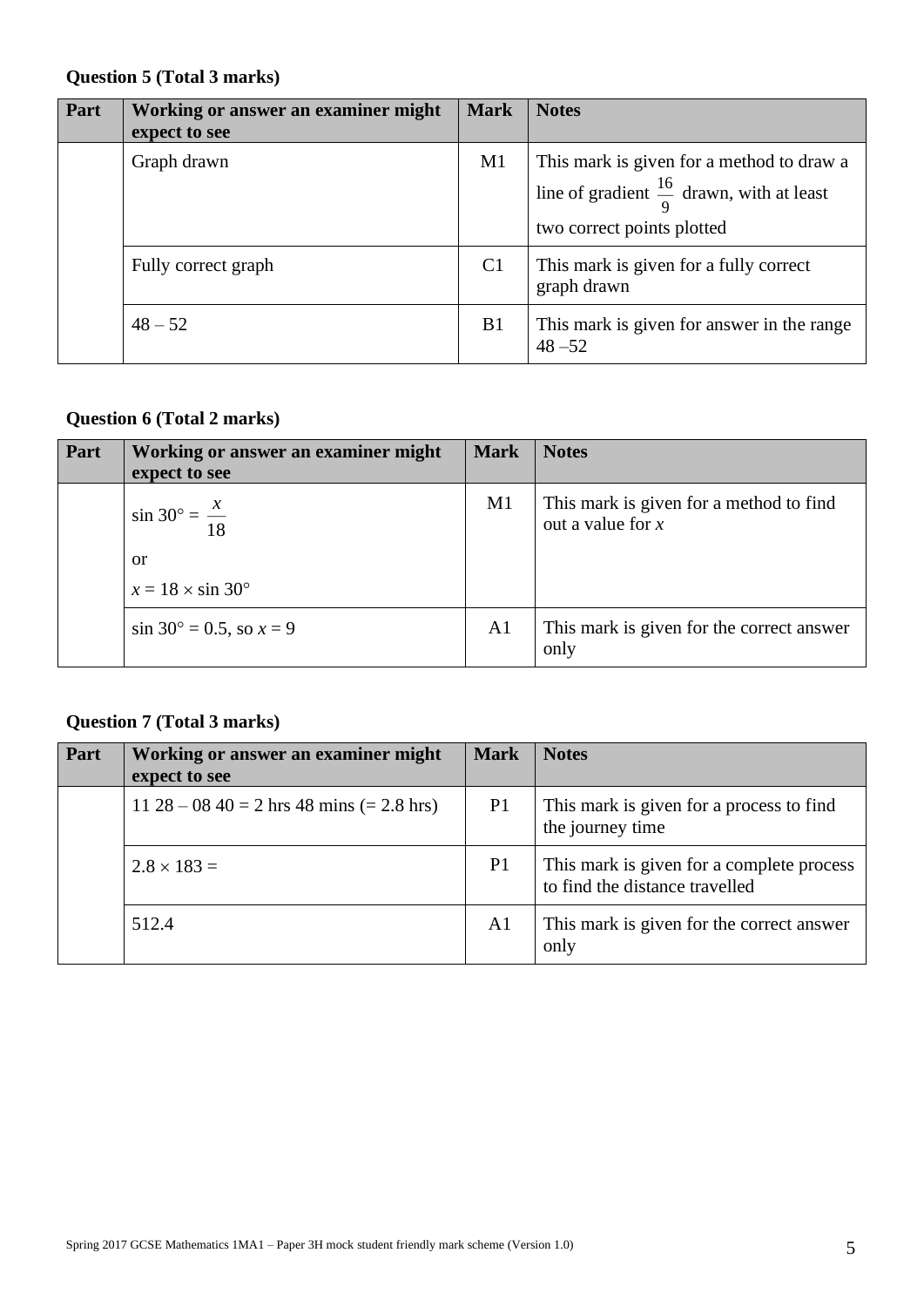### **Question 5 (Total 3 marks)**

| Part | Working or answer an examiner might<br>expect to see | <b>Mark</b>    | <b>Notes</b>                                                                                                                    |
|------|------------------------------------------------------|----------------|---------------------------------------------------------------------------------------------------------------------------------|
|      | Graph drawn                                          | M1             | This mark is given for a method to draw a<br>line of gradient $\frac{16}{9}$ drawn, with at least<br>two correct points plotted |
|      | Fully correct graph                                  | C <sub>1</sub> | This mark is given for a fully correct<br>graph drawn                                                                           |
|      | $48 - 52$                                            | B <sub>1</sub> | This mark is given for answer in the range<br>$48 - 52$                                                                         |

### **Question 6 (Total 2 marks)**

| Part | Working or answer an examiner might<br>expect to see | <b>Mark</b>    | <b>Notes</b>                                                   |
|------|------------------------------------------------------|----------------|----------------------------------------------------------------|
|      | $\sin 30^\circ = \frac{x}{18}$                       | M <sub>1</sub> | This mark is given for a method to find<br>out a value for $x$ |
|      | or                                                   |                |                                                                |
|      | $x = 18 \times \sin 30^{\circ}$                      |                |                                                                |
|      | $\sin 30^\circ = 0.5$ , so $x = 9$                   | A <sub>1</sub> | This mark is given for the correct answer<br>only              |

### **Question 7 (Total 3 marks)**

| Part | Working or answer an examiner might<br>expect to see | <b>Mark</b>    | <b>Notes</b>                                                                |
|------|------------------------------------------------------|----------------|-----------------------------------------------------------------------------|
|      | $11\ 28 - 08\ 40 = 2$ hrs 48 mins (= 2.8 hrs)        | P <sub>1</sub> | This mark is given for a process to find<br>the journey time                |
|      | $2.8 \times 183 =$                                   | P <sub>1</sub> | This mark is given for a complete process<br>to find the distance travelled |
|      | 512.4                                                | A <sub>1</sub> | This mark is given for the correct answer<br>only                           |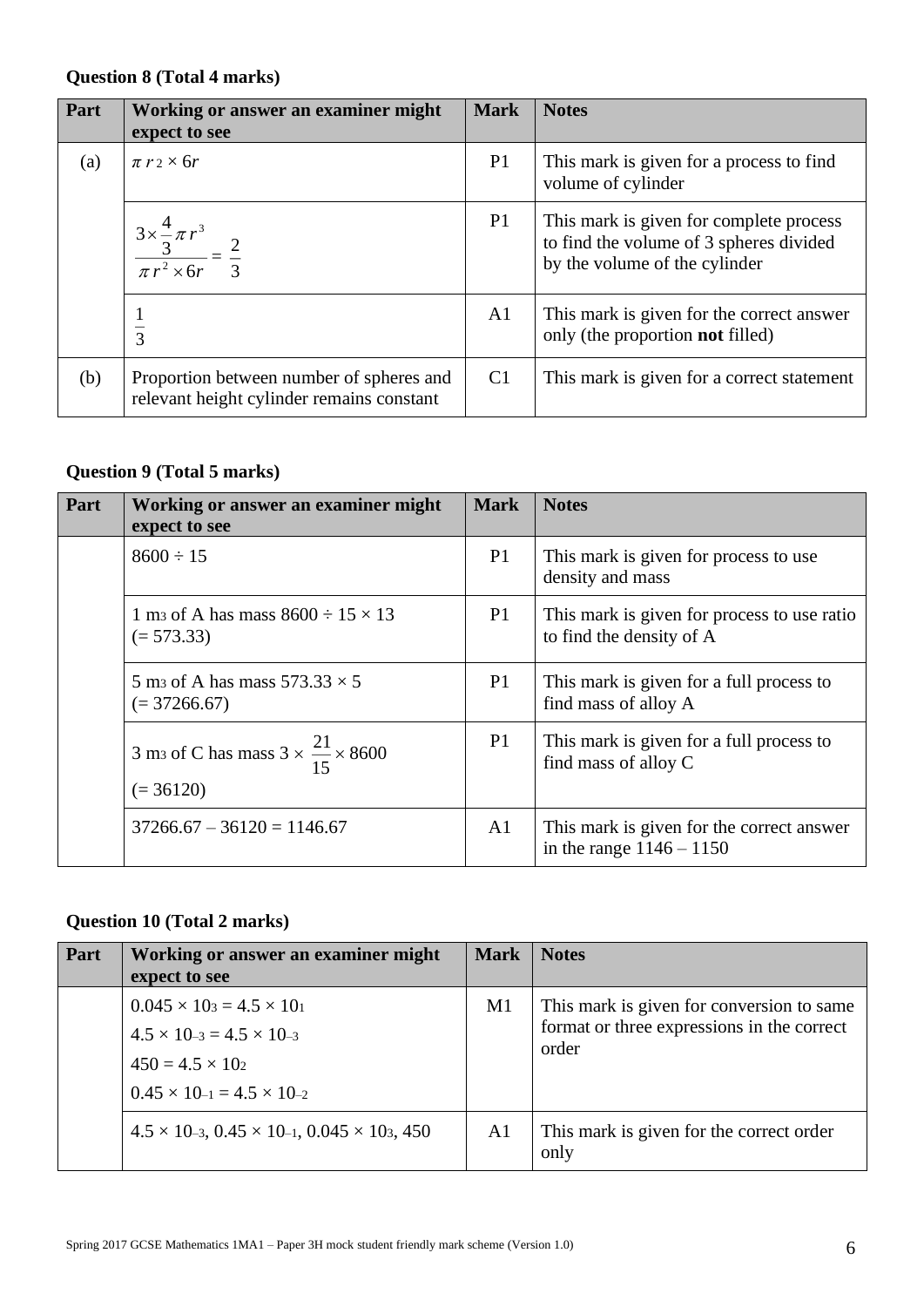### **Question 8 (Total 4 marks)**

| Part | Working or answer an examiner might<br>expect to see                                  | <b>Mark</b>    | <b>Notes</b>                                                                                                        |
|------|---------------------------------------------------------------------------------------|----------------|---------------------------------------------------------------------------------------------------------------------|
| (a)  | $\pi r_2 \times 6r$                                                                   | P <sub>1</sub> | This mark is given for a process to find<br>volume of cylinder                                                      |
|      | $\frac{3 \times \frac{4}{3} \pi r^3}{\pi r^2 \times 6r} = \frac{2}{3}$                | P <sub>1</sub> | This mark is given for complete process<br>to find the volume of 3 spheres divided<br>by the volume of the cylinder |
|      | 3                                                                                     | A <sub>1</sub> | This mark is given for the correct answer<br>only (the proportion <b>not</b> filled)                                |
| (b)  | Proportion between number of spheres and<br>relevant height cylinder remains constant | C <sub>1</sub> | This mark is given for a correct statement                                                                          |

## **Question 9 (Total 5 marks)**

| Part | Working or answer an examiner might<br>expect to see                               | <b>Mark</b>    | <b>Notes</b>                                                            |
|------|------------------------------------------------------------------------------------|----------------|-------------------------------------------------------------------------|
|      | $8600 \div 15$                                                                     | P1             | This mark is given for process to use<br>density and mass               |
|      | 1 m <sub>3</sub> of A has mass $8600 \div 15 \times 13$<br>$(= 573.33)$            | P1             | This mark is given for process to use ratio<br>to find the density of A |
|      | 5 m <sub>3</sub> of A has mass $573.33 \times 5$<br>$(= 37266.67)$                 | P <sub>1</sub> | This mark is given for a full process to<br>find mass of alloy A        |
|      | 3 m <sub>3</sub> of C has mass $3 \times \frac{21}{15} \times 8600$<br>$(= 36120)$ | P1             | This mark is given for a full process to<br>find mass of alloy C        |
|      | $37266.67 - 36120 = 1146.67$                                                       | A <sub>1</sub> | This mark is given for the correct answer<br>in the range $1146 - 1150$ |

## **Question 10 (Total 2 marks)**

| Part | Working or answer an examiner might<br>expect to see                                                                                                        | <b>Mark</b> | <b>Notes</b>                                                                                     |
|------|-------------------------------------------------------------------------------------------------------------------------------------------------------------|-------------|--------------------------------------------------------------------------------------------------|
|      | $0.045 \times 103 = 4.5 \times 101$<br>$4.5 \times 10^{-3} = 4.5 \times 10^{-3}$<br>$450 = 4.5 \times 10^{2}$<br>$0.45 \times 10^{-1} = 4.5 \times 10^{-2}$ | M1          | This mark is given for conversion to same<br>format or three expressions in the correct<br>order |
|      | $4.5 \times 10^{-3}$ , $0.45 \times 10^{-1}$ , $0.045 \times 10^{3}$ , 450                                                                                  | A1          | This mark is given for the correct order<br>only                                                 |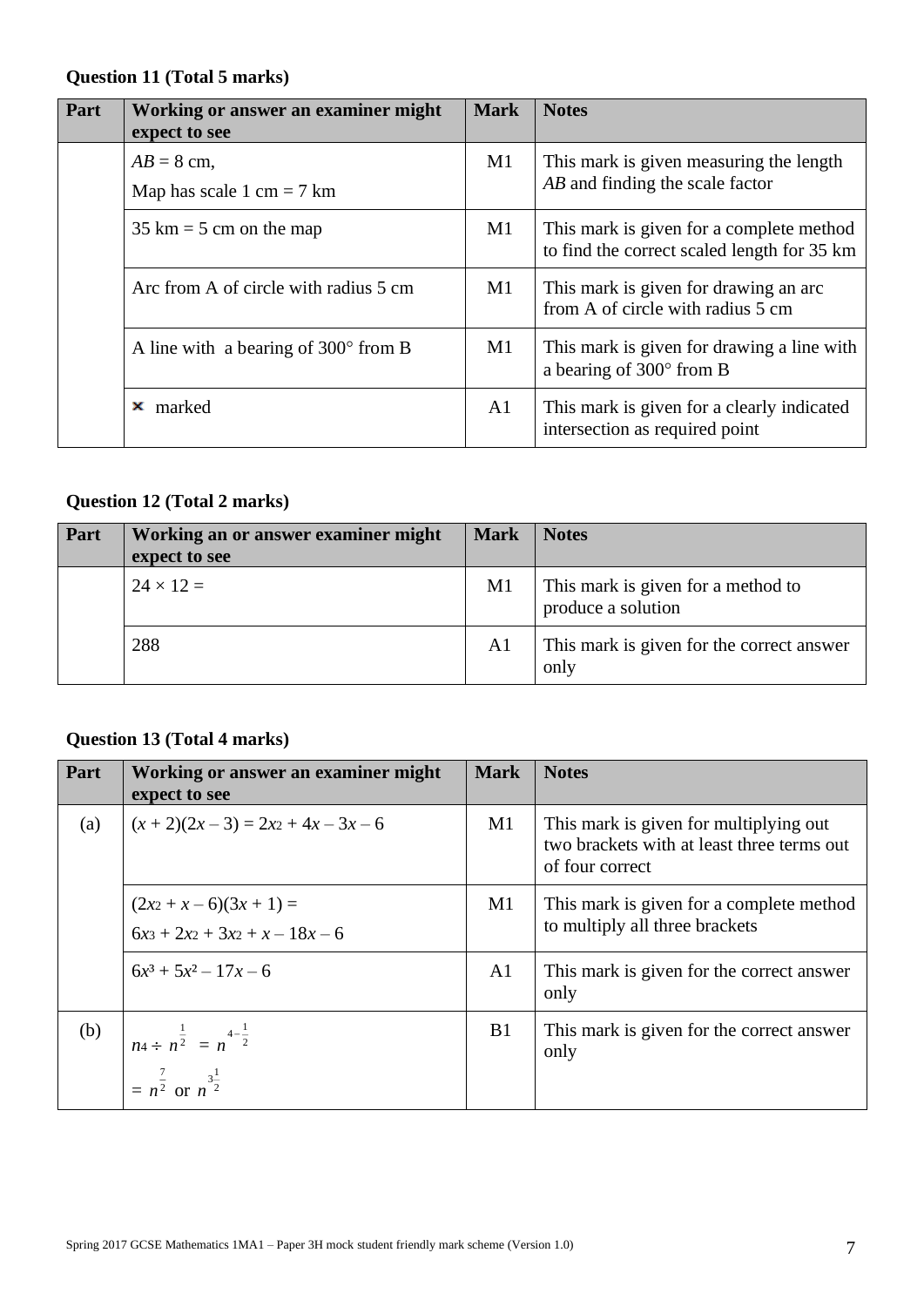### **Question 11 (Total 5 marks)**

| Part | Working or answer an examiner might<br>expect to see | <b>Mark</b>    | <b>Notes</b>                                                                            |
|------|------------------------------------------------------|----------------|-----------------------------------------------------------------------------------------|
|      | $AB = 8$ cm,<br>Map has scale 1 cm = $7 \text{ km}$  | M1             | This mark is given measuring the length<br>AB and finding the scale factor              |
|      | $35 \text{ km} = 5 \text{ cm}$ on the map            | M1             | This mark is given for a complete method<br>to find the correct scaled length for 35 km |
|      | Arc from A of circle with radius 5 cm                | $\mathbf{M}1$  | This mark is given for drawing an arc<br>from A of circle with radius 5 cm              |
|      | A line with a bearing of $300^{\circ}$ from B        | M1             | This mark is given for drawing a line with<br>a bearing of $300^{\circ}$ from B         |
|      | marked<br>×                                          | A <sub>1</sub> | This mark is given for a clearly indicated<br>intersection as required point            |

### **Question 12 (Total 2 marks)**

| Part | Working an or answer examiner might<br>expect to see | <b>Mark</b>    | <b>Notes</b>                                             |
|------|------------------------------------------------------|----------------|----------------------------------------------------------|
|      | $24 \times 12 =$                                     | M1             | This mark is given for a method to<br>produce a solution |
|      | 288                                                  | A <sub>1</sub> | This mark is given for the correct answer<br>only        |

### **Question 13 (Total 4 marks)**

| Part | Working or answer an examiner might<br>expect to see             | <b>Mark</b>    | <b>Notes</b>                                                                                            |
|------|------------------------------------------------------------------|----------------|---------------------------------------------------------------------------------------------------------|
| (a)  | $(x+2)(2x-3) = 2x^2 + 4x - 3x - 6$                               | M1             | This mark is given for multiplying out<br>two brackets with at least three terms out<br>of four correct |
|      | $(2x_2 + x - 6)(3x + 1) =$<br>$6x_3 + 2x_2 + 3x_2 + x - 18x - 6$ | M1             | This mark is given for a complete method<br>to multiply all three brackets                              |
|      | $6x^3 + 5x^2 - 17x - 6$                                          | A <sub>1</sub> | This mark is given for the correct answer<br>only                                                       |
| (b)  | $\left  n_4 \div n^{\frac{1}{2}} \right  = n^{4-\frac{1}{2}}$    | B1             | This mark is given for the correct answer<br>only                                                       |
|      | $= n^{\frac{7}{2}}$ or $n^{\frac{3}{2}}$                         |                |                                                                                                         |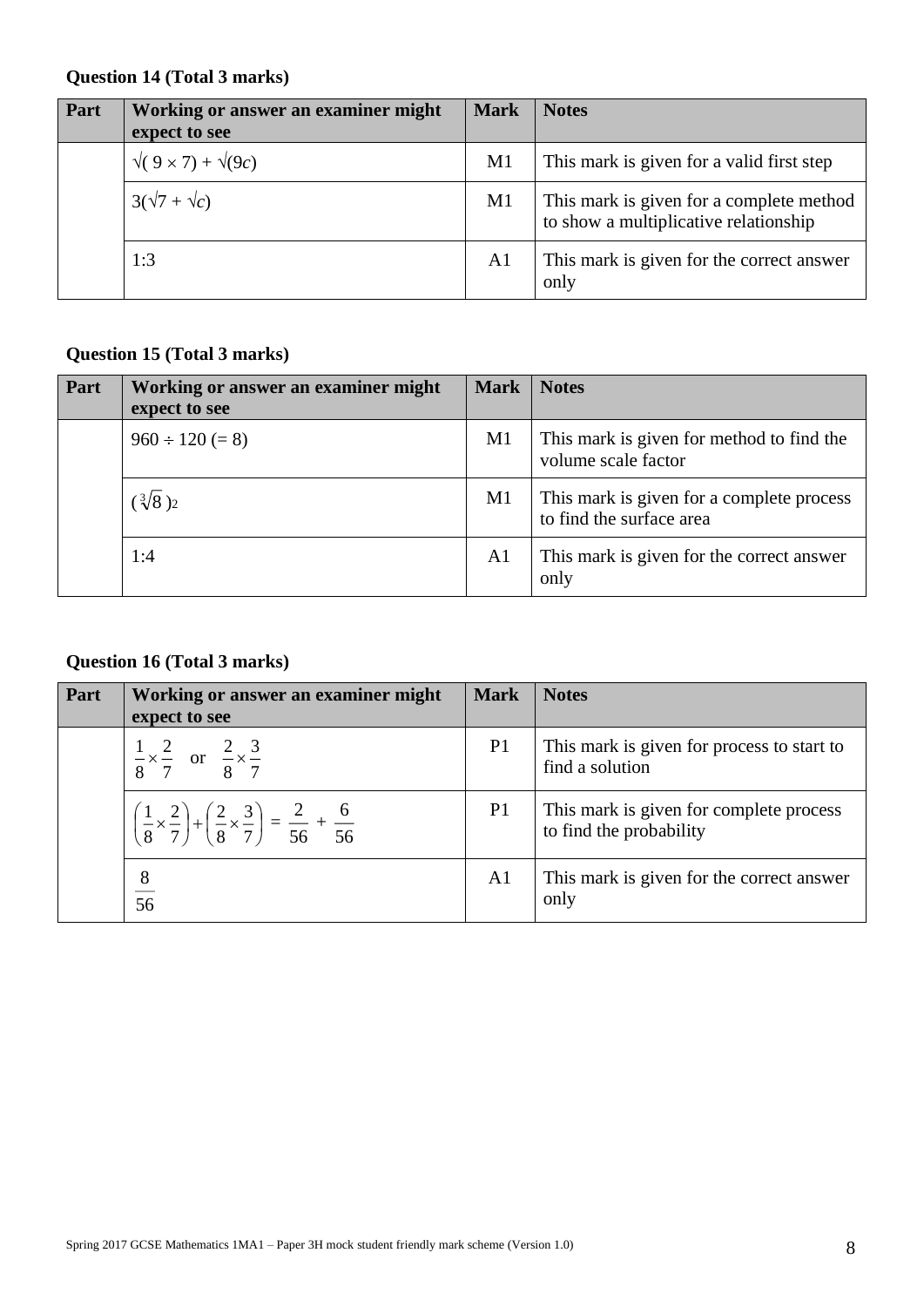### **Question 14 (Total 3 marks)**

| Part | Working or answer an examiner might<br>expect to see | <b>Mark</b>    | <b>Notes</b>                                                                      |
|------|------------------------------------------------------|----------------|-----------------------------------------------------------------------------------|
|      | $\sqrt{(9 \times 7)} + \sqrt{(9c)}$                  | M1             | This mark is given for a valid first step                                         |
|      | $3(\sqrt{7} + \sqrt{c})$                             | M1             | This mark is given for a complete method<br>to show a multiplicative relationship |
|      | 1:3                                                  | A <sub>1</sub> | This mark is given for the correct answer<br>only                                 |

### **Question 15 (Total 3 marks)**

| Part | Working or answer an examiner might<br>expect to see | <b>Mark</b> | <b>Notes</b>                                                          |
|------|------------------------------------------------------|-------------|-----------------------------------------------------------------------|
|      | $960 \div 120 (= 8)$                                 | M1          | This mark is given for method to find the<br>volume scale factor      |
|      | $(\sqrt[3]{8})_2$                                    | M1          | This mark is given for a complete process<br>to find the surface area |
|      | 1:4                                                  | A1          | This mark is given for the correct answer<br>only                     |

## **Question 16 (Total 3 marks)**

| Part | Working or answer an examiner might<br>expect to see                                                                      | <b>Mark</b>    | <b>Notes</b>                                                       |
|------|---------------------------------------------------------------------------------------------------------------------------|----------------|--------------------------------------------------------------------|
|      | $\frac{1}{8} \times \frac{2}{7}$ or $\frac{2}{8} \times \frac{3}{7}$                                                      | P <sub>1</sub> | This mark is given for process to start to<br>find a solution      |
|      | $\left(\frac{1}{8} \times \frac{2}{7}\right) + \left(\frac{2}{8} \times \frac{3}{7}\right) = \frac{2}{56} + \frac{6}{56}$ | P1             | This mark is given for complete process<br>to find the probability |
|      | $\frac{8}{56}$                                                                                                            | A <sub>1</sub> | This mark is given for the correct answer<br>only                  |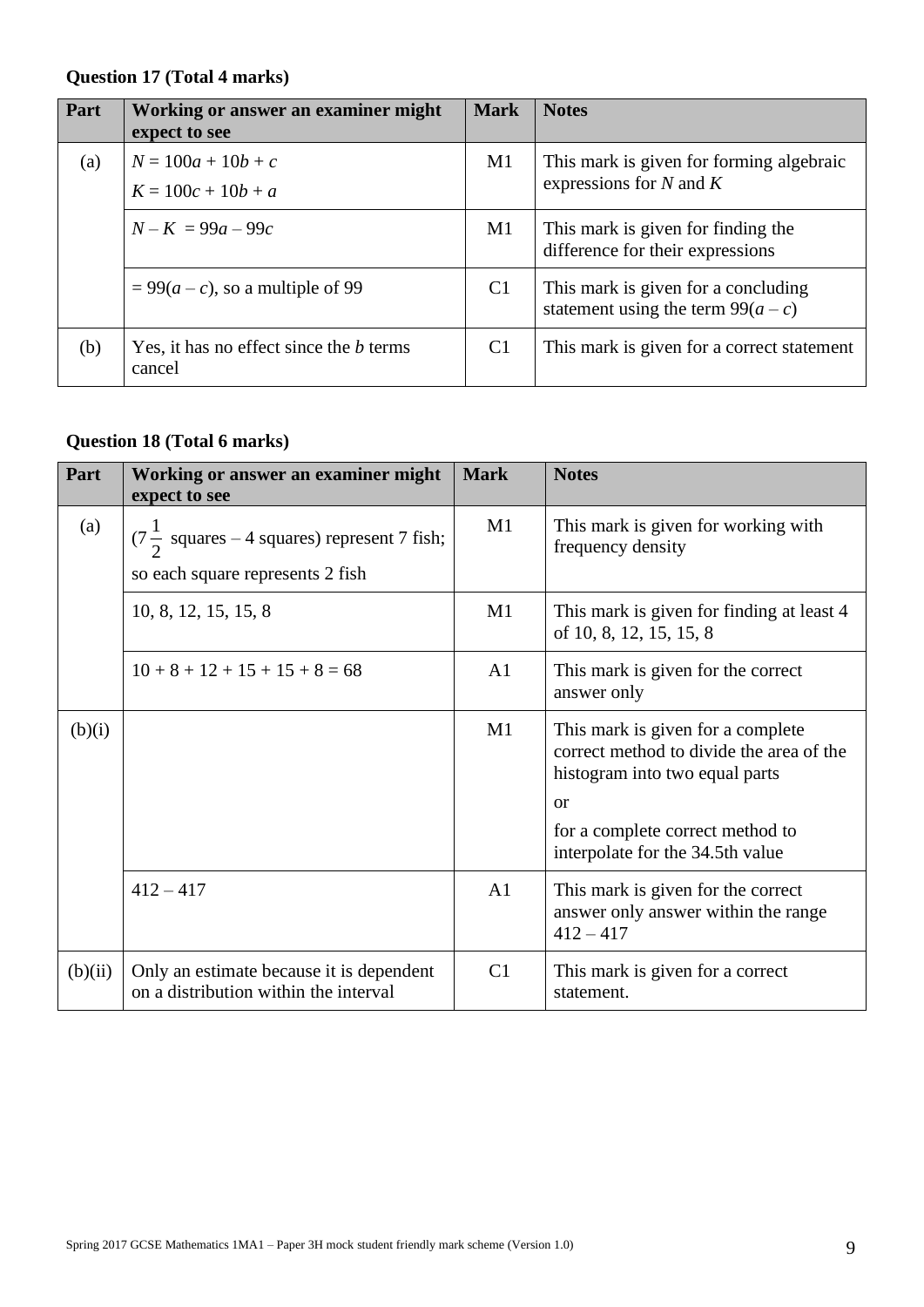### **Question 17 (Total 4 marks)**

| Part | Working or answer an examiner might<br>expect to see     | <b>Mark</b>    | <b>Notes</b>                                                                |
|------|----------------------------------------------------------|----------------|-----------------------------------------------------------------------------|
| (a)  | $N = 100a + 10b + c$<br>$K = 100c + 10b + a$             | M1             | This mark is given for forming algebraic<br>expressions for $N$ and $K$     |
|      | $N-K = 99a - 99c$                                        | M1             | This mark is given for finding the<br>difference for their expressions      |
|      | $= 99(a-c)$ , so a multiple of 99                        | C1             | This mark is given for a concluding<br>statement using the term $99(a - c)$ |
| (b)  | Yes, it has no effect since the <i>b</i> terms<br>cancel | C <sub>1</sub> | This mark is given for a correct statement                                  |

## **Question 18 (Total 6 marks)**

| Part    | Working or answer an examiner might<br>expect to see                                       | <b>Mark</b>    | <b>Notes</b>                                                                                                                                                                                         |
|---------|--------------------------------------------------------------------------------------------|----------------|------------------------------------------------------------------------------------------------------------------------------------------------------------------------------------------------------|
| (a)     | $(7\frac{1}{2}$ squares – 4 squares) represent 7 fish;<br>so each square represents 2 fish | M1             | This mark is given for working with<br>frequency density                                                                                                                                             |
|         | 10, 8, 12, 15, 15, 8                                                                       | M1             | This mark is given for finding at least 4<br>of 10, 8, 12, 15, 15, 8                                                                                                                                 |
|         | $10+8+12+15+15+8=68$                                                                       | A <sub>1</sub> | This mark is given for the correct<br>answer only                                                                                                                                                    |
| (b)(i)  |                                                                                            | M1             | This mark is given for a complete<br>correct method to divide the area of the<br>histogram into two equal parts<br><b>or</b><br>for a complete correct method to<br>interpolate for the 34.5th value |
|         | $412 - 417$                                                                                | A <sub>1</sub> | This mark is given for the correct<br>answer only answer within the range<br>$412 - 417$                                                                                                             |
| (b)(ii) | Only an estimate because it is dependent<br>on a distribution within the interval          | C1             | This mark is given for a correct<br>statement.                                                                                                                                                       |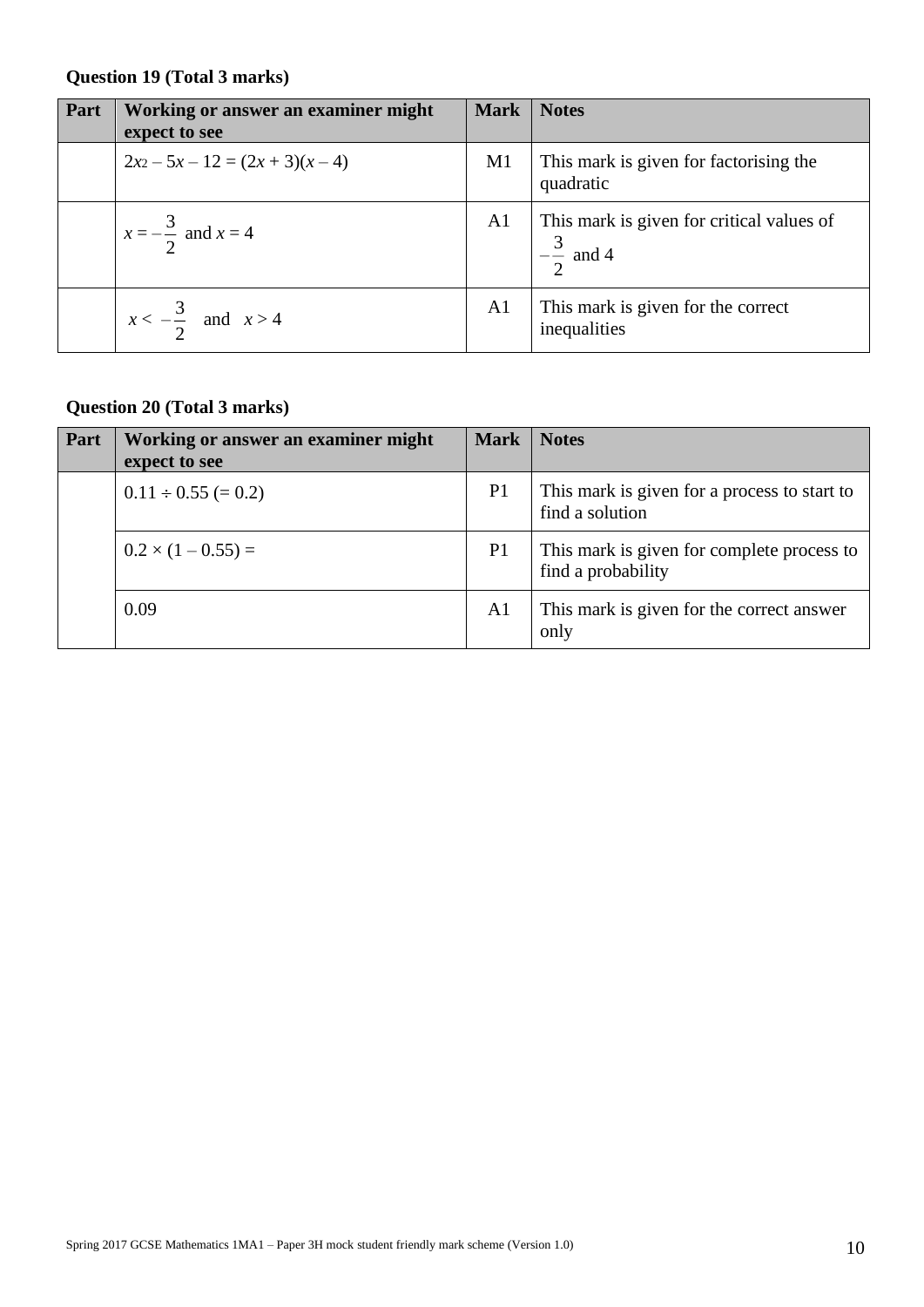### **Question 19 (Total 3 marks)**

| Part | Working or answer an examiner might<br>expect to see | <b>Mark</b>    | <b>Notes</b>                                                      |
|------|------------------------------------------------------|----------------|-------------------------------------------------------------------|
|      | $2x^2 - 5x - 12 = (2x + 3)(x - 4)$                   | M1             | This mark is given for factorising the<br>quadratic               |
|      | $x=-\frac{3}{2}$ and $x=4$                           | A1             | This mark is given for critical values of<br>$-\frac{3}{2}$ and 4 |
|      | $x < -\frac{3}{2}$ and $x > 4$                       | A <sub>1</sub> | This mark is given for the correct<br>inequalities                |

# **Question 20 (Total 3 marks)**

| Part | Working or answer an examiner might<br>expect to see | <b>Mark</b>    | <b>Notes</b>                                                     |
|------|------------------------------------------------------|----------------|------------------------------------------------------------------|
|      | $0.11 \div 0.55 (= 0.2)$                             | P <sub>1</sub> | This mark is given for a process to start to<br>find a solution  |
|      | $0.2 \times (1 - 0.55) =$                            | P <sub>1</sub> | This mark is given for complete process to<br>find a probability |
|      | 0.09                                                 | A <sub>1</sub> | This mark is given for the correct answer<br>only                |